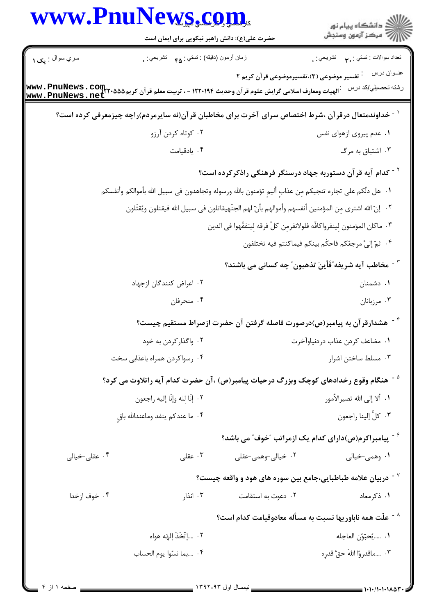|                                                                                                                                        | <b>WWW.PnuNews.com.</b><br>حضرت علی(ع): دانش راهبر نیکویی برای ایمان است                                  |                                                                          | د<br>دانشگاه پيام نور<br>چ⊤مرکز آزمون وسنجش                                              |
|----------------------------------------------------------------------------------------------------------------------------------------|-----------------------------------------------------------------------------------------------------------|--------------------------------------------------------------------------|------------------------------------------------------------------------------------------|
| سري سوال : پک ۱                                                                                                                        | زمان أزمون (دقيقه) : تستي : ۴۵ — تشريحي : .                                                               |                                                                          | نعداد سوالات : تستبي : پم       تشريحي : .                                               |
| .<br>الهيات ومعارف اسلامي گرايش علوم قرآن وحديث ۱۲۲۰۱۹۴ - ، تربيت معلم قرآن کريم۵۵۵،۲۰۲۰ - ۲۰۰۰۰۲۰۰۰۰۰۰۰۰۰۰۰۰۰۰۰۰۰۰<br>www.PnuNews.net |                                                                                                           | تفسیر موضوعی (۳)،تفسیرموضوعی قرآن کریم ۲                                 | عنــوان درس<br>رشته تحصيلي/كد درس                                                        |
|                                                                                                                                        | ّ - خداوندمتعال درقر آن ،شرط اختصاص سرای آخرت برای مخاطبان قر آن(نه سایرمردم)راچه چیزمعرفی کرده است؟      |                                                                          |                                                                                          |
|                                                                                                                                        | ۰۲ کوتاه کردن آرزو                                                                                        |                                                                          | ۰۱ عدم پیروی ازهوای نفس                                                                  |
|                                                                                                                                        | ۰۴ يادقيامت                                                                                               |                                                                          | ۰۳ اشتیاق به مرگ                                                                         |
|                                                                                                                                        |                                                                                                           |                                                                          | <sup>۲ -</sup> کدام آیه قرآن دستوربه جهاد درسنگر فرهنگی راذکرکرده است؟                   |
|                                                                                                                                        | ١.  هل دلَّكم على تجاره تنجيكم مِن عذابٍ أليمٍ تؤمنون بالله ورسوله وتجاهدون فى سبيل الله بأموالكم وأنفسكم |                                                                          |                                                                                          |
|                                                                                                                                        | ٢٠ . إنّ الله اشترى مِن المؤمنين أنفسهم وأموالهم بأنّ لهم الجنّهيقاتلون في سبيل الله فيقتلون ويُقتَلون    |                                                                          |                                                                                          |
|                                                                                                                                        |                                                                                                           | ٠٣ ماكان المؤمنون لِينفرواكافّه فلولانفرمِن كلّ فرقه لِيتفقّهوا فى الدين |                                                                                          |
|                                                                                                                                        |                                                                                                           |                                                                          | ۴ . ثمّ إلىَّ مرجعُكم فاحكُم بينكم فيماكنتم فيه تختلفون                                  |
|                                                                                                                                        |                                                                                                           |                                                                          | <sup>٣ -</sup> مخاطب آيه شريفه ؒفَأينَ تذهبون ؒ چه كسانى مى باشند؟                       |
|                                                                                                                                        | ۰۲ اعراض کنندگان ازجهاد                                                                                   |                                                                          | ۰۱ دشمنان                                                                                |
|                                                                                                                                        | ۰۴ منحرفان                                                                                                |                                                                          | ۰۳ مرزبانان                                                                              |
|                                                                                                                                        |                                                                                                           | هشدارقرآن به پیامبر(ص)درصورت فاصله گرفتن آن حضرت ازصراط مستقیم چیست؟     |                                                                                          |
|                                                                                                                                        | ۰۲ واگذار کردن به خود                                                                                     |                                                                          | ٠١. مضاعف كردن عذاب دردنياوآخرت                                                          |
|                                                                                                                                        | ۰۴ رسواکردن همراه باعذابی سخت                                                                             |                                                                          | ۰۳ مسلط ساختن اشرار                                                                      |
|                                                                                                                                        | <sup>ه -</sup> هنگام وقوع رخدادهای کوچک وبزرگ درحیات پیامبر(ص) ،آن حضرت کدام آیه راتلاوت می کرد؟          |                                                                          |                                                                                          |
|                                                                                                                                        | ٠٢ إنّا لله وإنّا إليه راجعون                                                                             |                                                                          | ٠١. ألا إلى الله تصيرالأمور                                                              |
|                                                                                                                                        | ۰۴ ما عندكم ينفد وماعندالله باق                                                                           |                                                                          | ٠٣ كلٌّ إلينا راجعون                                                                     |
|                                                                                                                                        |                                                                                                           |                                                                          | ٔ <sup>۶</sup> پیامبراکرم(ص)دارای کدام یک ازمراتب <sup>"</sup> خوف <sup>"</sup> می باشد؟ |
| ۰۴ عقلی خیالی                                                                                                                          | ۰۳ عقلی $\cdot$                                                                                           | ۰۲ خیالی-وهمی-عقلی                                                       | ۰۱ وهمي-خيالي                                                                            |
|                                                                                                                                        |                                                                                                           |                                                                          | $^{\circ}$ دربیان علامه طباطبایی،جامع بین سوره های هود و واقعه چیست $^{\circ}$           |
| ۰۴ خوف ازخدا                                                                                                                           | ۰۳ انذار                                                                                                  | ۰۲ دعوت به استقامت                                                       | ۱. ذکرمعاد                                                                               |
|                                                                                                                                        |                                                                                                           |                                                                          | $^{\wedge}$ - علّت همه ناباوريها نسبت به مسأله معادوقيامت كدام است $^{\wedge}$           |
|                                                                                                                                        | ٢. ۚإتّخَذَ إلهَه هواه                                                                                    |                                                                          | ٠١ يُحبّوُنِ العاجله                                                                     |
|                                                                                                                                        | ۰۴ بما نسّوا يوم الحساب                                                                                   |                                                                          | ٠٣ ….ماقدروًا اللهَ حقَّ قدره                                                            |
|                                                                                                                                        |                                                                                                           |                                                                          |                                                                                          |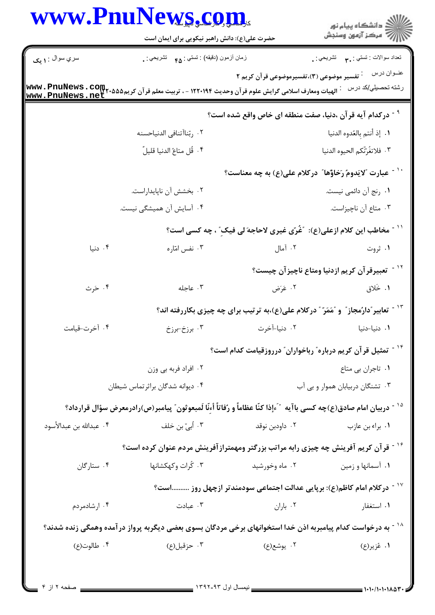|                         | www.PnuNews.com<br>حضرت علی(ع): دانش راهبر نیکویی برای ایمان است                                                              |                                                                                                        | ڪ دانشڪاه پيام نور<br>پ <sup>ر</sup> مرڪز آزمون وسنڊش     |
|-------------------------|-------------------------------------------------------------------------------------------------------------------------------|--------------------------------------------------------------------------------------------------------|-----------------------------------------------------------|
| سري سوال : <b>۱ يک</b>  | زمان أزمون (دقيقه) : تستي : <sub>۴۵</sub> تشريحي : .                                                                          |                                                                                                        | تعداد سوالات : تستبي : پم       تشريحي : .                |
| www.PnuNews.net         | الهيات ومعارف اسلامي گرايش علوم قرآن وحديث ۱۲۲۰۱۹۴ - ، تربيت معلم قرآن کريم۵۵۵+PnuNews . COM<br>- ————————————————————-       | تفسیر موضوعی (۳)،تفسیرموضوعی قرآن کریم ۲                                                               | عنــوان درس<br>رشته تحصيلي/كد درس                         |
|                         |                                                                                                                               | <sup>۹ -</sup> درکدام آیه قرآن ،دنیا، صفت منطقه ای خاص واقع شده است؟                                   |                                                           |
|                         | ٢. ربّناآتنافي الدنياحسنه                                                                                                     |                                                                                                        | ٠١. إذ أنتم بِالعُدوه الدنيا                              |
|                         | ۴ . قُل متاعُ الدنيا قليل <sup>ِ</sup> ّ                                                                                      |                                                                                                        | ٠٣ فلاتغُرَّنَّكم الحيوه الدنيا                           |
|                         |                                                                                                                               | عبارت "لايَدومُ رَخاوٌها" دركلام على(ع) به چه معناست؟                                                  |                                                           |
|                         | ۰۲ بخشش آن ناپایداراست.                                                                                                       |                                                                                                        | ١. رنج أن دائمي نيست.                                     |
|                         | ۰۴ آسایش آن همیشگی نیست.                                                                                                      |                                                                                                        | ۰۳ متاع آن ناچيزاست.                                      |
|                         |                                                                                                                               | `` - مخاطب این کلام ازعلی(ع):  'غُرّی غیری لاحاجهَ لی فیکِ″ ، چه کسی است؟                              |                                                           |
| ۰۴ دنیا                 | ۰۳ نفس اماره                                                                                                                  | ۰۲ آمال                                                                                                | ۰۱ ثروت                                                   |
|                         |                                                                                                                               |                                                                                                        | <sup>۱۲ -</sup> تعبیرقرآن کریم ازدنیا ومتاع ناچیزآن چیست؟ |
| ۰۴ ځرث                  | ۰۳ عاجله                                                                                                                      | ۰۲ عَرَض                                                                                               | ۱. خَلاق                                                  |
|                         |                                                                                                                               | <sup>۱۳ -</sup> تعابیر ًدارُمجاز ً و آمَمَر <i>"</i> درکلام علی(ع)،به ترتیب برای چه چیزی بکاررفته اند؟ |                                                           |
| ۰۴ آخرت-قیامت           | ۰۳ برزخ-برزخ                                                                                                                  | ۰۲ دنیا-آخرت                                                                                           | ٠١ دنيا-دنيا                                              |
|                         |                                                                                                                               | <sup>۱۴ -</sup> تمثیل قر آن کریم درباره ً رباخواران ً درروزقیامت کدام است؟                             |                                                           |
|                         | ۰۲ افراد فربه بی وزن                                                                                                          |                                                                                                        | ٠١ تاجران بي متاع                                         |
|                         | ۰۴ دیوانه شدگان براثرتماس شیطان                                                                                               |                                                                                                        | ۰۳ تشنگان دربیابان هموار و بی آب                          |
|                         | <sup>د ۱۵</sup> دربیان امام صادق(ع)چه کسی باآیه گاِذا کنّا عظاماً و رُفاتاً أءنّا لَمبعوثون ّ پیامبر(ص)رادرمعرض سؤال قرارداد؟ |                                                                                                        |                                                           |
| ۰۴ عبدالله بن عبدالأسود | ۰۳ أبيّ بن خلف                                                                                                                | ۰۲ داودبن نوقد                                                                                         | ۰۱ براء بن عازب                                           |
|                         | <sup>۱۶ -</sup> قر آن کریم آفرینش چه چیزی رابه مراتب بزرگتر ومهمتراز آفرینش مردم عنوان کرده است؟                              |                                                                                                        |                                                           |
| ۰۴ ستارگان              | ۰۳ کُرات وکهکشانها                                                                                                            | ۰۲ ماه وخورشید                                                                                         | ۰۱ آسمانها و زمین                                         |
|                         |                                                                                                                               | `` درکلام امام کاظم(ع): برپایی عدالت اجتماعی سودمندتر ازچهل روز است؟                                   |                                                           |
| ۰۴ ارشادمردم            | ۰۳ عبادت                                                                                                                      | ۰۲ باران و استان باران                                                                                 | ۰۱ استغفار                                                |
|                         | <sup>۱۸ -</sup> به درخواست کدام پیامبربه اذن خدا استخوانهای برخی مردگان بسوی بعضی دیگربه پرواز درآمده وهمگی زنده شدند؟        |                                                                                                        |                                                           |
| ۰۴ طالوت(ع)             | ۰۳ حزقیل(ع)                                                                                                                   | ۰۲ يوشع(ع)                                                                                             | ۱. عُزير(ع)                                               |

×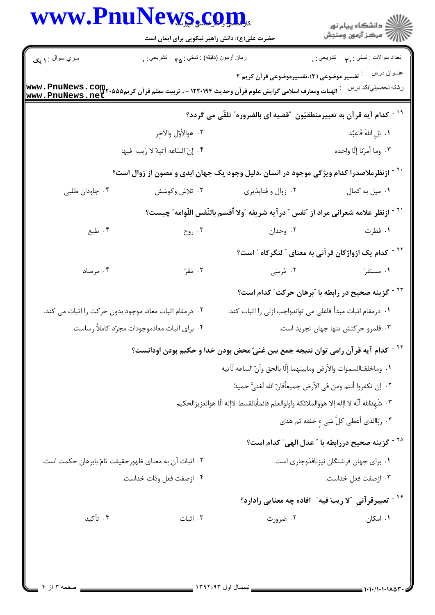|                                                                                                  | حضرت علی(ع): دانش راهبر نیکویی برای ایمان است | ر<br>دانشڪاه پيام نور)<br>ا∛ مرڪز آزمون وسنڊش                                                                                                                                                                                                                                                                                                                      |  |  |  |
|--------------------------------------------------------------------------------------------------|-----------------------------------------------|--------------------------------------------------------------------------------------------------------------------------------------------------------------------------------------------------------------------------------------------------------------------------------------------------------------------------------------------------------------------|--|--|--|
| زمان أزمون (دقيقه) : تستى : ۴۵     تشريحي : .                                                    |                                               | تعداد سوالات : تستي : پم       تشريحي : .                                                                                                                                                                                                                                                                                                                          |  |  |  |
|                                                                                                  |                                               | عنــوان درس<br>رشته تحصيلي/كد درس                                                                                                                                                                                                                                                                                                                                  |  |  |  |
| <sup>۱۹ -</sup> کدام آیه قرآن به تعبیرمنطقیّون گقضیه ای بالضروره ؒ تلقّی می گردد؟                |                                               |                                                                                                                                                                                                                                                                                                                                                                    |  |  |  |
| ٠٢ هوالأوّل والآخِر                                                                              |                                               | ٠١. بَلِ اللهَ فَاعبُد                                                                                                                                                                                                                                                                                                                                             |  |  |  |
| ۰۴ إنّ السّاعه آتيهٌ لا رَيب َ فيها                                                              |                                               | ٢. وما أمرُنا إلّا واحده                                                                                                                                                                                                                                                                                                                                           |  |  |  |
|                                                                                                  |                                               |                                                                                                                                                                                                                                                                                                                                                                    |  |  |  |
| ۰۳ تلاش وکوشش                                                                                    | ۰۲ زوال و فناپذیری                            | ٠١ ميل به كمال                                                                                                                                                                                                                                                                                                                                                     |  |  |  |
| <sup>۲۱ -</sup> ازنظر علامه شعرانی مراد از آنفس ″ در آیه شریفه ″ولا أقسم بالنّفس اللّوامه″ چیست؟ |                                               |                                                                                                                                                                                                                                                                                                                                                                    |  |  |  |
| ۰۳ روح                                                                                           |                                               | ۰۱ فطرت                                                                                                                                                                                                                                                                                                                                                            |  |  |  |
|                                                                                                  |                                               | <sup>۲۲ -</sup> کدام یک ازواژگان قرآنی به معنای ″ لنگرگاه ″ است؟                                                                                                                                                                                                                                                                                                   |  |  |  |
| ۰۳ مَقرّ                                                                                         |                                               | ۰۱ مستقرّ مستقرّ از مرسی از مرسی به مرسی به مستقر <sup>ّ</sup>                                                                                                                                                                                                                                                                                                     |  |  |  |
|                                                                                                  |                                               | <sup>۲۳ -</sup> گزینه صحیح در رابطه با <sup>"</sup> برهان حرکت" کدام است؟                                                                                                                                                                                                                                                                                          |  |  |  |
| ۰۲ درمقام اثبات معاد، موجود بدون حرکت را اثبات می کند.                                           |                                               |                                                                                                                                                                                                                                                                                                                                                                    |  |  |  |
| ۰۴ برای اثبات معادموجودات مجرّد کاملاً رساست.                                                    |                                               | ۰۳ قلمرو حرکتش تنها جهان تجرید است.                                                                                                                                                                                                                                                                                                                                |  |  |  |
| <sup>۲۴ -</sup> کدام آیه قرآن رامی توان نتیجه جمع بین غنیّ محض بودن خدا و حکیم بودن اودانست؟     |                                               |                                                                                                                                                                                                                                                                                                                                                                    |  |  |  |
|                                                                                                  |                                               |                                                                                                                                                                                                                                                                                                                                                                    |  |  |  |
|                                                                                                  |                                               | ٢. إن تكفروا أنتم ومن في الأرض جميعأفانّ الله لَغنيٌّ حميدّ                                                                                                                                                                                                                                                                                                        |  |  |  |
| ٣. شَهدَالله أنّه لا اإله إلا هووالملائكه واولوالعلم قائماًبالقسط لاإله الّا هوالعزيزالحكيم      |                                               |                                                                                                                                                                                                                                                                                                                                                                    |  |  |  |
|                                                                                                  |                                               | ۰۴ ربّاالذی أعطی کلَّ شی ۽ خلقه ثم هَدَی                                                                                                                                                                                                                                                                                                                           |  |  |  |
|                                                                                                  |                                               | <sup>۲۵ -</sup> گزینه صحیح دررابطه با ″ عدل الهی″ کدام است؟                                                                                                                                                                                                                                                                                                        |  |  |  |
| ٠٢ اثبات آن به معناى ظهورحقيقت تامّ بابرهان حكمت است.                                            |                                               | ٠١ براي جهان فرشتگان نيزنافذوجاري است.                                                                                                                                                                                                                                                                                                                             |  |  |  |
| ۰۴ ازصفت فعل وذات خداست.                                                                         |                                               | ۰۳ ازصفت فعل خداست.                                                                                                                                                                                                                                                                                                                                                |  |  |  |
|                                                                                                  |                                               | <sup>۲۶ -</sup> تعبیرقرآنی "لا ریبَ فیه" افاده چه معنایی رادارد؟                                                                                                                                                                                                                                                                                                   |  |  |  |
| ۰۳ اثبات                                                                                         | ۰۲ ضرورت                                      | ۰۱ امکان                                                                                                                                                                                                                                                                                                                                                           |  |  |  |
|                                                                                                  |                                               | <sup>:</sup> تفسیر موضوعی (۳)،تفسیرموضوعی قرآن کریم ۲<br>WWW . PnuNews . COM .<br>WWW . PnuNews . net<br><b>ٔ <sup>۲۰</sup> ازنظرملاصدرا کدام ویژگی موجود در انسان ،دلیل وجود یک جهان ابدی و مصون از زوال است؟</b><br>۰۲ وجدان<br>٠١ درمقام اثبات مبدأ فاعلى مى تواندواجب ازلى را اثبات كند.<br>٠١. وماخلقناالسموات والأرض ومابينهما إلّا بالحق وأنّ الساعه لَآتيه |  |  |  |